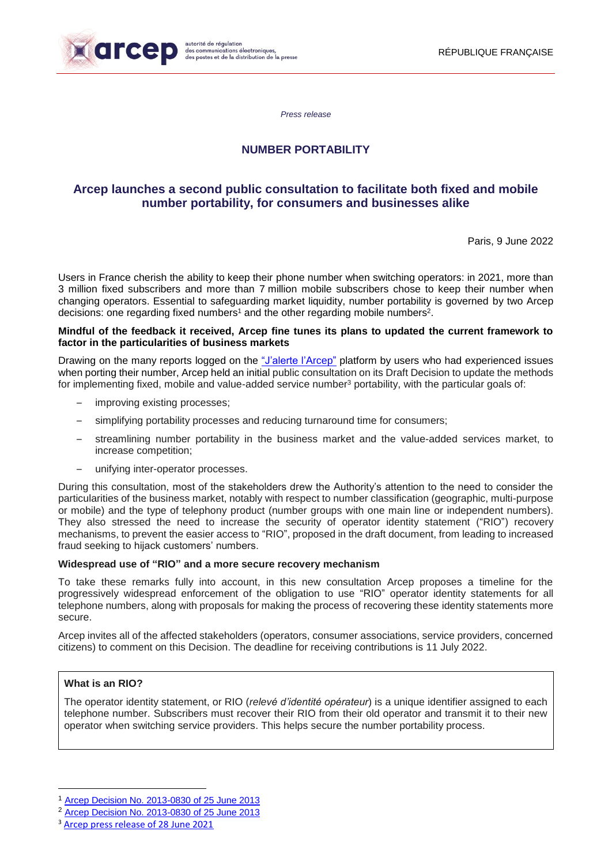

*Press release*

## **NUMBER PORTABILITY**

# **Arcep launches a second public consultation to facilitate both fixed and mobile number portability, for consumers and businesses alike**

Paris, 9 June 2022

Users in France cherish the ability to keep their phone number when switching operators: in 2021, more than 3 million fixed subscribers and more than 7 million mobile subscribers chose to keep their number when changing operators. Essential to safeguarding market liquidity, number portability is governed by two Arcep decisions: one regarding fixed numbers<sup>1</sup> and the other regarding mobile numbers<sup>2</sup>.

#### **Mindful of the feedback it received, Arcep fine tunes its plans to updated the current framework to factor in the particularities of business markets**

Drawing on the many reports logged on the ["J'alerte l'Arcep"](https://jalerte.arcep.fr/) platform by users who had experienced issues when porting their number, Arcep held an initial public consultation on its Draft Decision to update the methods for implementing fixed, mobile and value-added service number<sup>3</sup> portability, with the particular goals of:

- improving existing processes;
- simplifying portability processes and reducing turnaround time for consumers;
- streamlining number portability in the business market and the value-added services market, to increase competition;
- unifying inter-operator processes.

During this consultation, most of the stakeholders drew the Authority's attention to the need to consider the particularities of the business market, notably with respect to number classification (geographic, multi-purpose or mobile) and the type of telephony product (number groups with one main line or independent numbers). They also stressed the need to increase the security of operator identity statement ("RIO") recovery mechanisms, to prevent the easier access to "RIO", proposed in the draft document, from leading to increased fraud seeking to hijack customers' numbers.

### **Widespread use of "RIO" and a more secure recovery mechanism**

To take these remarks fully into account, in this new consultation Arcep proposes a timeline for the progressively widespread enforcement of the obligation to use "RIO" operator identity statements for all telephone numbers, along with proposals for making the process of recovering these identity statements more secure.

Arcep invites all of the affected stakeholders (operators, consumer associations, service providers, concerned citizens) to comment on this Decision. The deadline for receiving contributions is 11 July 2022.

## **What is an RIO?**

**.** 

The operator identity statement, or RIO (*relevé d'identité opérateur*) is a unique identifier assigned to each telephone number. Subscribers must recover their RIO from their old operator and transmit it to their new operator when switching service providers. This helps secure the number portability process.

<sup>1</sup> [Arcep Decision No. 2013-0830 of](https://www.arcep.fr/uploads/tx_gsavis/13-0830.pdf) 25 June 2013

<sup>2</sup> [Arcep Decision No. 2013-0830 of](https://www.arcep.fr/uploads/tx_gsavis/13-0830.pdf) 25 June 2013

[Arcep press release of 28 June 2021](https://en.arcep.fr/news/press-releases/view/n/number-portability-280621.html)